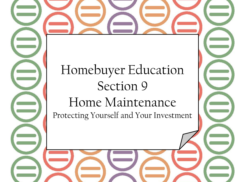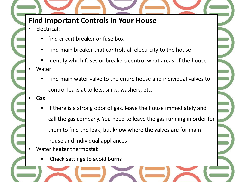## **Find Important Controls in Your House**

- Electrical:
	- find circuit breaker or fuse box
	- Find main breaker that controls all electricity to the house
	- Identify which fuses or breakers control what areas of the house • Water
		- Find main water valve to the entire house and individual valves to control leaks at toilets, sinks, washers, etc.
	- Gas
		- If there is a strong odor of gas, leave the house immediately and call the gas company. You need to leave the gas running in order for them to find the leak, but know where the valves are for main house and individual appliances
- Water heater thermostat
	- Check settings to avoid burns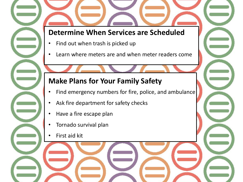### **Determine When Services are Scheduled**

- Find out when trash is picked up
- Learn where meters are and when meter readers come

## **Make Plans for Your Family Safety**

- Find emergency numbers for fire, police, and ambulance
- Ask fire department for safety checks
- Have a fire escape plan
- Tornado survival plan
- First aid kit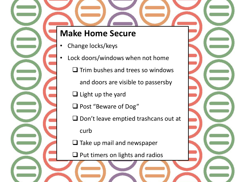# **Make Home Secure**

- Change locks/keys
- Lock doors/windows when not home  $\Box$  Trim bushes and trees so windows
	- and doors are visible to passersby
	- $\Box$  Light up the yard
	- □ Post "Beware of Dog"
	- $\Box$  Don't leave emptied trashcans out at

curb

 $\Box$  Take up mail and newspaper

 $\Box$  Put timers on lights and radios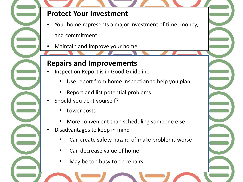### **Protect Your Investment**

- Your home represents a major investment of time, money, and commitment
- Maintain and improve your home

#### **Repairs and Improvements**

- Inspection Report is in Good Guideline
	- Use report from home inspection to help you plan
	- Report and list potential problems
- Should you do it yourself?
	- Lower costs
	- More convenient than scheduling someone else
- Disadvantages to keep in mind
	- Can create safety hazard of make problems worse
	- Can decrease value of home
	- May be too busy to do repairs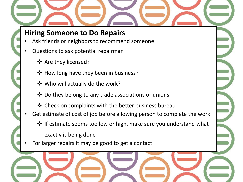## **Hiring Someone to Do Repairs**

- Ask friends or neighbors to recommend someone
- Questions to ask potential repairman
	- ❖ Are they licensed?
	- ❖ How long have they been in business?
	- **❖** Who will actually do the work?
	- $\triangle$  Do they belong to any trade associations or unions
	- Check on complaints with the better business bureau
- Get estimate of cost of job before allowing person to complete the work
	- $\cdot$  If estimate seems too low or high, make sure you understand what exactly is being done
- For larger repairs it may be good to get a contact

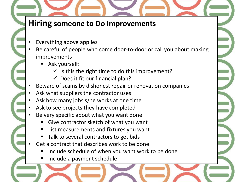# **Hiring someone to Do Improvements**

- Everything above applies
- Be careful of people who come door-to-door or call you about making improvements
	- Ask yourself:
		- $\checkmark$  Is this the right time to do this improvement?
		- $\checkmark$  Does it fit our financial plan?
- Beware of scams by dishonest repair or renovation companies
- Ask what suppliers the contractor uses
- Ask how many jobs s/he works at one time
- Ask to see projects they have completed
- Be very specific about what you want done
	- Give contractor sketch of what you want
	- List measurements and fixtures you want
	- Talk to several contractors to get bids
- Get a contract that describes work to be done
	- Include schedule of when you want work to be done
	- Include a payment schedule